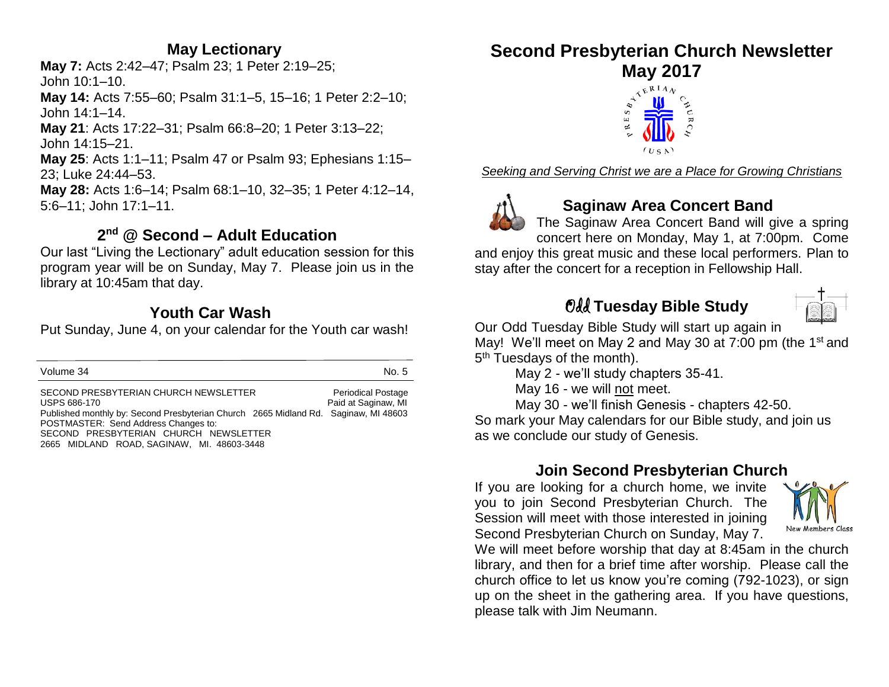# **May Lectionary**

**May 7:** Acts 2:42–47; Psalm 23; 1 Peter 2:19–25; John 10:1–10.

**May 14:** Acts 7:55–60; Psalm 31:1–5, 15–16; 1 Peter 2:2–10; John 14:1–14.

**May 21**: Acts 17:22–31; Psalm 66:8–20; 1 Peter 3:13–22; John 14:15–21.

**May 25**: Acts 1:1–11; Psalm 47 or Psalm 93; Ephesians 1:15– 23; Luke 24:44–53.

**May 28:** Acts 1:6–14; Psalm 68:1–10, 32–35; 1 Peter 4:12–14, 5:6–11; John 17:1–11.

# **2 nd @ Second – Adult Education**

Our last "Living the Lectionary" adult education session for this program year will be on Sunday, May 7. Please join us in the library at 10:45am that day.

# **Youth Car Wash**

Put Sunday, June 4, on your calendar for the Youth car wash!

| Volume 34                                                                                                                                                                                                                                                                          | No. 5                                            |
|------------------------------------------------------------------------------------------------------------------------------------------------------------------------------------------------------------------------------------------------------------------------------------|--------------------------------------------------|
| SECOND PRESBYTERIAN CHURCH NEWSLETTER<br><b>USPS 686-170</b><br>Published monthly by: Second Presbyterian Church 2665 Midland Rd. Saginaw, MI 48603<br>POSTMASTER: Send Address Changes to:<br>SECOND PRESBYTERIAN CHURCH NEWSLETTER<br>2665 MIDLAND ROAD, SAGINAW, MI. 48603-3448 | <b>Periodical Postage</b><br>Paid at Saginaw, MI |

# **Second Presbyterian Church Newsletter**



*Seeking and Serving Christ we are a Place for Growing Christians*



# **Saginaw Area Concert Band**

The Saginaw Area Concert Band will give a spring concert here on Monday, May 1, at 7:00pm. Come

and enjoy this great music and these local performers. Plan to stay after the concert for a reception in Fellowship Hall.

# Odd **Tuesday Bible Study**

Our Odd Tuesday Bible Study will start up again in

May! We'll meet on May 2 and May 30 at 7:00 pm (the 1<sup>st</sup> and 5<sup>th</sup> Tuesdays of the month).

May 2 - we'll study chapters 35-41.

May 16 - we will not meet.

May 30 - we'll finish Genesis - chapters 42-50.

So mark your May calendars for our Bible study, and join us as we conclude our study of Genesis.

# **Join Second Presbyterian Church**

If you are looking for a church home, we invite you to join Second Presbyterian Church. The Session will meet with those interested in joining Second Presbyterian Church on Sunday, May 7.



We will meet before worship that day at 8:45am in the church library, and then for a brief time after worship. Please call the church office to let us know you're coming (792-1023), or sign up on the sheet in the gathering area. If you have questions, please talk with Jim Neumann.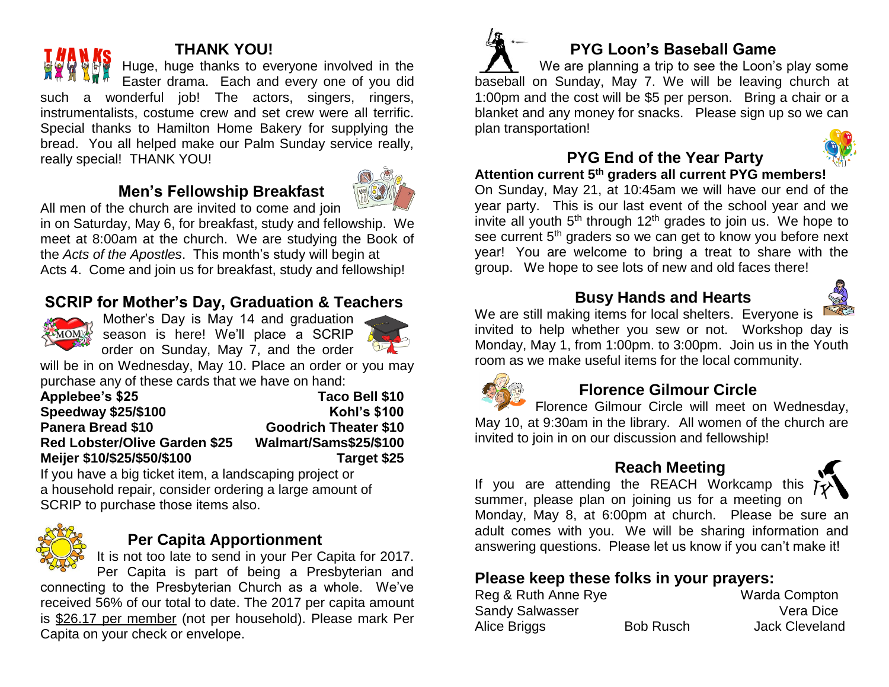# **THANK YOU!**

Huge, huge thanks to everyone involved in the Easter drama. Each and every one of you did such a wonderful job! The actors, singers, ringers, instrumentalists, costume crew and set crew were all terrific. Special thanks to Hamilton Home Bakery for supplying the bread. You all helped make our Palm Sunday service really, really special! THANK YOU!

# **Men's Fellowship Breakfast**



All men of the church are invited to come and join

in on Saturday, May 6, for breakfast, study and fellowship. We meet at 8:00am at the church. We are studying the Book of the *Acts of the Apostles*. This month's study will begin at Acts 4. Come and join us for breakfast, study and fellowship!

# **SCRIP for Mother's Day, Graduation & Teachers**



Mother's Day is May 14 and graduation season is here! We'll place a SCRIP order on Sunday, May 7, and the order



will be in on Wednesday, May 10. Place an order or you may purchase any of these cards that we have on hand:

| <b>Applebee's \$25</b>               | Taco Bell \$10               |
|--------------------------------------|------------------------------|
| <b>Speedway \$25/\$100</b>           | <b>Kohl's \$100</b>          |
| Panera Bread \$10                    | <b>Goodrich Theater \$10</b> |
| <b>Red Lobster/Olive Garden \$25</b> | Walmart/Sams\$25/\$100       |
| Meijer \$10/\$25/\$50/\$100          | Target \$25                  |

If you have a big ticket item, a landscaping project or a household repair, consider ordering a large amount of SCRIP to purchase those items also.



#### **Per Capita Apportionment**

It is not too late to send in your Per Capita for 2017.

Per Capita is part of being a Presbyterian and connecting to the Presbyterian Church as a whole. We've received 56% of our total to date. The 2017 per capita amount is \$26.17 per member (not per household). Please mark Per Capita on your check or envelope.





# **PYG End of the Year Party**

**Attention current 5th graders all current PYG members!** 

On Sunday, May 21, at 10:45am we will have our end of the year party. This is our last event of the school year and we invite all youth  $5<sup>th</sup>$  through 12<sup>th</sup> grades to join us. We hope to see current 5<sup>th</sup> graders so we can get to know you before next year! You are welcome to bring a treat to share with the group. We hope to see lots of new and old faces there!

## **Busy Hands and Hearts**



We are still making items for local shelters. Everyone is invited to help whether you sew or not. Workshop day is Monday, May 1, from 1:00pm. to 3:00pm. Join us in the Youth room as we make useful items for the local community.



# **Florence Gilmour Circle**

Florence Gilmour Circle will meet on Wednesday, May 10, at 9:30am in the library. All women of the church are invited to join in on our discussion and fellowship!

#### **Reach Meeting**



If you are attending the REACH Workcamp this summer, please plan on joining us for a meeting on Monday, May 8, at 6:00pm at church. Please be sure an adult comes with you. We will be sharing information and answering questions. Please let us know if you can't make it!

# **Please keep these folks in your prayers:**

| Reg & Ruth Anne Rye    |                  | <b>Warda Compton</b>  |
|------------------------|------------------|-----------------------|
| <b>Sandy Salwasser</b> |                  | Vera Dice             |
| Alice Briggs           | <b>Bob Rusch</b> | <b>Jack Cleveland</b> |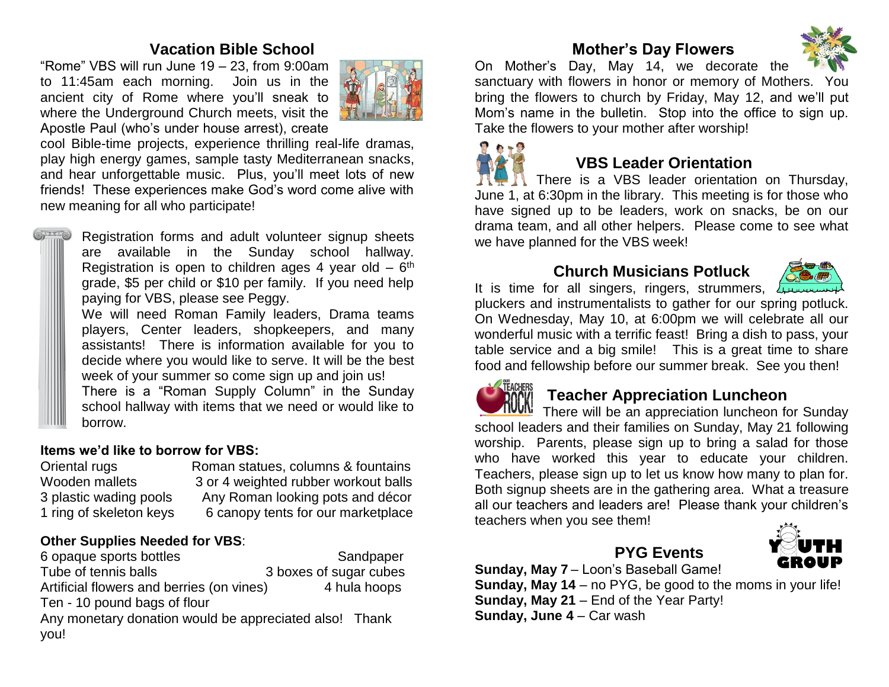#### **Vacation Bible School**

"Rome" VBS will run June 19 – 23, from 9:00am to 11:45am each morning. Join us in the ancient city of Rome where you'll sneak to where the Underground Church meets, visit the Apostle Paul (who's under house arrest), create



cool Bible-time projects, experience thrilling real-life dramas, play high energy games, sample tasty Mediterranean snacks, and hear unforgettable music. Plus, you'll meet lots of new friends! These experiences make God's word come alive with new meaning for all who participate!



Registration forms and adult volunteer signup sheets are available in the Sunday school hallway. Registration is open to children ages 4 year old  $-6<sup>th</sup>$ grade, \$5 per child or \$10 per family. If you need help paying for VBS, please see Peggy.

We will need Roman Family leaders, Drama teams players, Center leaders, shopkeepers, and many assistants! There is information available for you to decide where you would like to serve. It will be the best week of your summer so come sign up and join us!

There is a "Roman Supply Column" in the Sunday school hallway with items that we need or would like to borrow.

#### **Items we'd like to borrow for VBS:**

Oriental rugs Roman statues, columns & fountains Wooden mallets 3 or 4 weighted rubber workout balls 3 plastic wading pools Any Roman looking pots and décor 1 ring of skeleton keys 6 canopy tents for our marketplace

#### **Other Supplies Needed for VBS**:

6 opaque sports bottles Sandpaper Tube of tennis balls 3 boxes of sugar cubes Artificial flowers and berries (on vines) 4 hula hoops Ten - 10 pound bags of flour Any monetary donation would be appreciated also! Thank you!

# **Mother's Day Flowers**



On Mother's Day, May 14, we decorate the sanctuary with flowers in honor or memory of Mothers. You bring the flowers to church by Friday, May 12, and we'll put Mom's name in the bulletin. Stop into the office to sign up. Take the flowers to your mother after worship!



## **VBS Leader Orientation**

There is a VBS leader orientation on Thursday, June 1, at 6:30pm in the library. This meeting is for those who have signed up to be leaders, work on snacks, be on our drama team, and all other helpers. Please come to see what we have planned for the VBS week!

## **Church Musicians Potluck**



It is time for all singers, ringers, strummers,  $\sqrt{1+\frac{1}{2}}$ pluckers and instrumentalists to gather for our spring potluck. On Wednesday, May 10, at 6:00pm we will celebrate all our wonderful music with a terrific feast! Bring a dish to pass, your table service and a big smile! This is a great time to share food and fellowship before our summer break. See you then!



#### **Teacher Appreciation Luncheon**

There will be an appreciation luncheon for Sundav school leaders and their families on Sunday, May 21 following worship. Parents, please sign up to bring a salad for those who have worked this year to educate your children. Teachers, please sign up to let us know how many to plan for. Both signup sheets are in the gathering area. What a treasure all our teachers and leaders are! Please thank your children's teachers when you see them!



# **PYG Events**

**Sunday, May 7** – Loon's Baseball Game! **Sunday, May 14** – no PYG, be good to the moms in your life! **Sunday, May 21** – End of the Year Party! **Sunday, June 4** – Car wash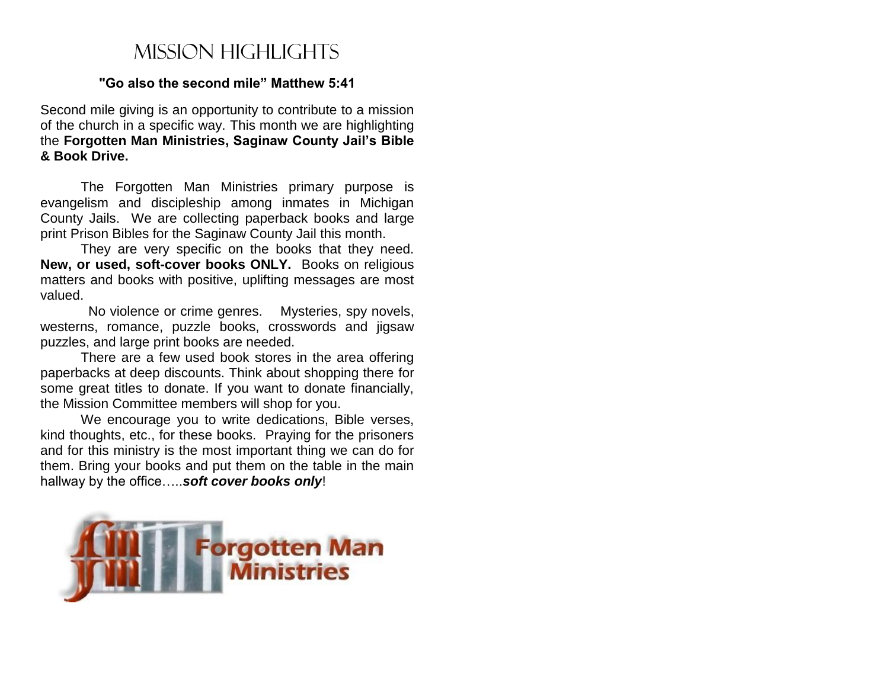# Mission highlights

#### **"Go also the second mile" Matthew 5:41**

Second mile giving is an opportunity to contribute to a mission of the church in a specific way. This month we are highlighting the **Forgotten Man Ministries, Saginaw County Jail's Bible & Book Drive.**

The Forgotten Man Ministries primary purpose is evangelism and discipleship among inmates in Michigan County Jails. We are collecting paperback books and large print Prison Bibles for the Saginaw County Jail this month.

They are very specific on the books that they need. **New, or used, soft-cover books ONLY.** Books on religious matters and books with positive, uplifting messages are most valued.

 No violence or crime genres. Mysteries, spy novels, westerns, romance, puzzle books, crosswords and jigsaw puzzles, and large print books are needed.

There are a few used book stores in the area offering paperbacks at deep discounts. Think about shopping there for some great titles to donate. If you want to donate financially, the Mission Committee members will shop for you.

We encourage you to write dedications, Bible verses, kind thoughts, etc., for these books. Praying for the prisoners and for this ministry is the most important thing we can do for them. Bring your books and put them on the table in the main hallway by the office…..*soft cover books only*!